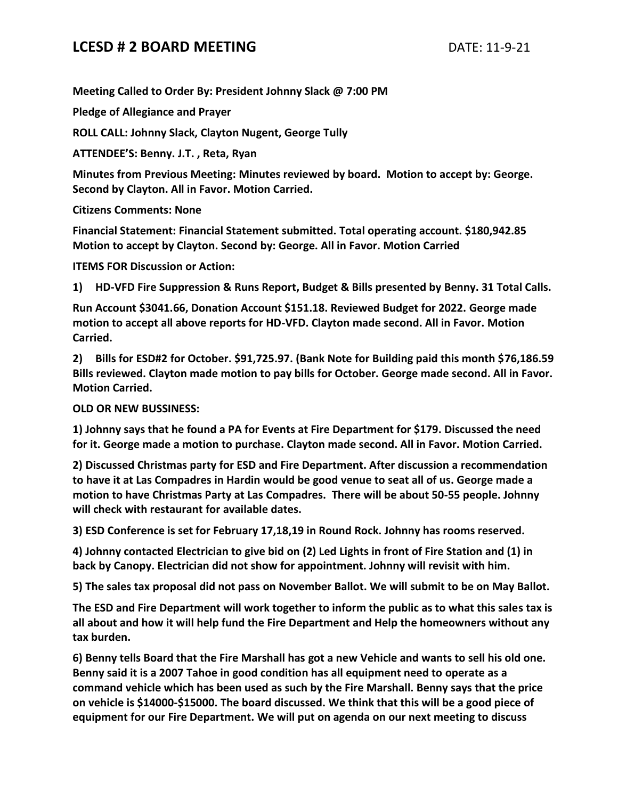## **LCESD # 2 BOARD MEETING** DATE: 11-9-21

**Meeting Called to Order By: President Johnny Slack @ 7:00 PM**

**Pledge of Allegiance and Prayer**

**ROLL CALL: Johnny Slack, Clayton Nugent, George Tully**

**ATTENDEE'S: Benny. J.T. , Reta, Ryan**

**Minutes from Previous Meeting: Minutes reviewed by board. Motion to accept by: George. Second by Clayton. All in Favor. Motion Carried.**

**Citizens Comments: None**

**Financial Statement: Financial Statement submitted. Total operating account. \$180,942.85 Motion to accept by Clayton. Second by: George. All in Favor. Motion Carried** 

**ITEMS FOR Discussion or Action:**

**1) HD-VFD Fire Suppression & Runs Report, Budget & Bills presented by Benny. 31 Total Calls.**

**Run Account \$3041.66, Donation Account \$151.18. Reviewed Budget for 2022. George made motion to accept all above reports for HD-VFD. Clayton made second. All in Favor. Motion Carried.**

**2) Bills for ESD#2 for October. \$91,725.97. (Bank Note for Building paid this month \$76,186.59 Bills reviewed. Clayton made motion to pay bills for October. George made second. All in Favor. Motion Carried.**

**OLD OR NEW BUSSINESS:**

**1) Johnny says that he found a PA for Events at Fire Department for \$179. Discussed the need for it. George made a motion to purchase. Clayton made second. All in Favor. Motion Carried.**

**2) Discussed Christmas party for ESD and Fire Department. After discussion a recommendation to have it at Las Compadres in Hardin would be good venue to seat all of us. George made a motion to have Christmas Party at Las Compadres. There will be about 50-55 people. Johnny will check with restaurant for available dates.**

**3) ESD Conference is set for February 17,18,19 in Round Rock. Johnny has rooms reserved.**

**4) Johnny contacted Electrician to give bid on (2) Led Lights in front of Fire Station and (1) in back by Canopy. Electrician did not show for appointment. Johnny will revisit with him.**

**5) The sales tax proposal did not pass on November Ballot. We will submit to be on May Ballot.**

**The ESD and Fire Department will work together to inform the public as to what this sales tax is all about and how it will help fund the Fire Department and Help the homeowners without any tax burden.**

**6) Benny tells Board that the Fire Marshall has got a new Vehicle and wants to sell his old one. Benny said it is a 2007 Tahoe in good condition has all equipment need to operate as a command vehicle which has been used as such by the Fire Marshall. Benny says that the price on vehicle is \$14000-\$15000. The board discussed. We think that this will be a good piece of equipment for our Fire Department. We will put on agenda on our next meeting to discuss**